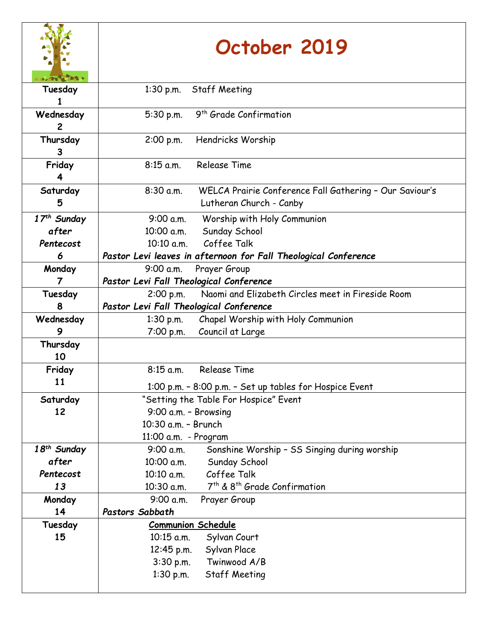|                         | October 2019                                                                                      |  |
|-------------------------|---------------------------------------------------------------------------------------------------|--|
| Tuesday                 | 1:30 p.m. Staff Meeting                                                                           |  |
| Wednesday<br>2          | 9 <sup>th</sup> Grade Confirmation<br>5:30 p.m.                                                   |  |
| Thursday<br>3           | Hendricks Worship<br>2:00 p.m.                                                                    |  |
| Friday<br>4             | $8:15$ a.m.<br>Release Time                                                                       |  |
| Saturday<br>5           | $8:30$ a.m.<br>WELCA Prairie Conference Fall Gathering - Our Saviour's<br>Lutheran Church - Canby |  |
| 17 <sup>th</sup> Sunday | Worship with Holy Communion<br>9:00 a.m.                                                          |  |
| after                   | Sunday School<br>10:00 a.m.                                                                       |  |
| Pentecost               | 10:10 a.m. Coffee Talk                                                                            |  |
| 6                       | Pastor Levi leaves in afternoon for Fall Theological Conference                                   |  |
| Monday                  | Prayer Group<br>9:00 a.m.                                                                         |  |
|                         | Pastor Levi Fall Theological Conference                                                           |  |
| Tuesday                 | Naomi and Elizabeth Circles meet in Fireside Room<br>2:00 p.m.                                    |  |
| 8                       | Pastor Levi Fall Theological Conference                                                           |  |
| Wednesday               | Chapel Worship with Holy Communion<br>$1:30$ p.m.                                                 |  |
| 9                       | 7:00 p.m.<br>Council at Large                                                                     |  |
| Thursday<br>10          |                                                                                                   |  |
| Friday                  | <b>Release Time</b><br>$8:15$ a.m.                                                                |  |
| 11                      | 1:00 p.m. - 8:00 p.m. - Set up tables for Hospice Event                                           |  |
| Saturday                | "Setting the Table For Hospice" Event                                                             |  |
| 12                      | 9:00 a.m. - Browsing                                                                              |  |
|                         | 10:30 a.m. - Brunch                                                                               |  |
|                         | 11:00 a.m. - Program                                                                              |  |
| 18 <sup>th</sup> Sunday | 9:00 a.m.<br>Sonshine Worship - SS Singing during worship                                         |  |
| after                   | Sunday School<br>10:00 a.m.                                                                       |  |
| Pentecost               | 10:10 a.m.<br>Coffee Talk                                                                         |  |
| 13                      | 7 <sup>th</sup> & 8 <sup>th</sup> Grade Confirmation<br>10:30 a.m.                                |  |
| Monday                  | 9:00 a.m.<br>Prayer Group                                                                         |  |
| 14                      | Pastors Sabbath                                                                                   |  |
| Tuesday                 | <b>Communion Schedule</b>                                                                         |  |
| 15                      | 10:15 a.m.<br>Sylvan Court                                                                        |  |
|                         | Sylvan Place<br>12:45 p.m.                                                                        |  |
|                         | Twinwood A/B<br>$3:30$ p.m.                                                                       |  |
|                         | $1:30$ p.m.<br>Staff Meeting                                                                      |  |